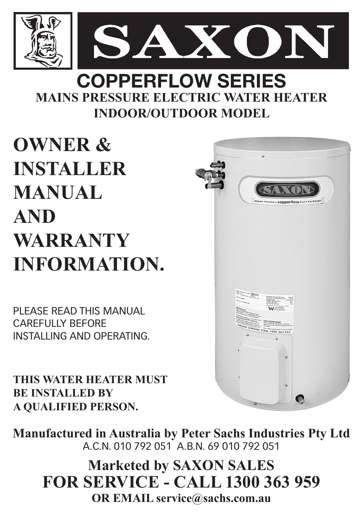

### **MAINS PRESSURE ELECTRIC WATER HEATER INDOOR/OUTDOOR MODEL COPPERFLOW SERIES**

### **OWNER & INSTALLER MANUAL AND WARRANTY INFORMATION.**

PLEASE READ THIS MANUAL CAREFULLY BEFORE INSTALLING AND OPERATING.

**THIS WATER HEATER MUST BE INSTALLED BY A QUALIFIED PERSON.**



**Manufactured in Australia by Peter Sachs Industries Pty Ltd** A.C.N. 010 792 051 A.B.N. 69 010 792 051

#### **Marketed by SAXON SALES FOR SERVICE - CALL 1300 363 959 OR EMAIL service@sachs.com.au**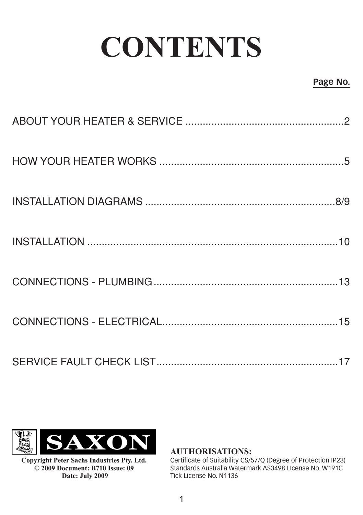# **CONTENTS**

#### **Page No.**



**Copyright Peter Sachs Industries Pty. Ltd. © 2009 Document: B710 Issue: 09 Date: July 2009**

**AUTHORISATIONS:**

Certificate of Suitability CS/57/Q (Degree of Protection IP23) Standards Australia Watermark AS3498 LIcense No. W191C Tick License No. N1136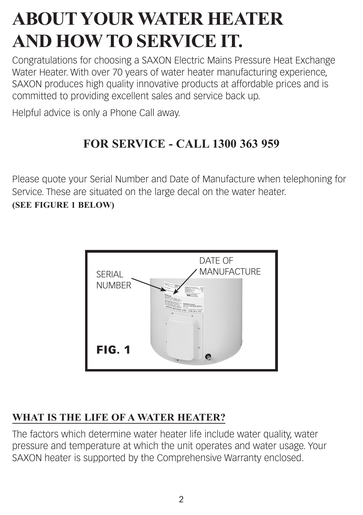### **ABOUT YOUR WATER HEATER AND HOW TO SERVICE IT.**

Congratulations for choosing a SAXON Electric Mains Pressure Heat Exchange Water Heater. With over 70 years of water heater manufacturing experience, SAXON produces high quality innovative products at affordable prices and is committed to providing excellent sales and service back up.

Helpful advice is only a Phone Call away.

#### **FOR SERVICE - CALL 1300 363 959**

Please quote your Serial Number and Date of Manufacture when telephoning for Service. These are situated on the large decal on the water heater. **(SEE FIGURE 1 BELOW)**



#### **WHAT IS THE LIFE OF A WATER HEATER?**

The factors which determine water heater life include water quality, water pressure and temperature at which the unit operates and water usage. Your SAXON heater is supported by the Comprehensive Warranty enclosed.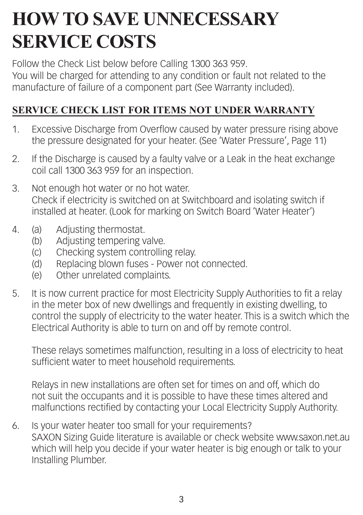### **HOW TO SAVE UNNECESSARY SERVICE COSTS**

Follow the Check List below before Calling 1300 363 959. You will be charged for attending to any condition or fault not related to the manufacture of failure of a component part (See Warranty included).

#### **SERVICE CHECK LIST FOR ITEMS NOT UNDER WARRANTY**

- 1. Excessive Discharge from Overflow caused by water pressure rising above the pressure designated for your heater. (See 'Water Pressure', Page 11)
- 2. If the Discharge is caused by a faulty valve or a Leak in the heat exchange coil call 1300 363 959 for an inspection.
- 3. Not enough hot water or no hot water. Check if electricity is switched on at Switchboard and isolating switch if installed at heater. (Look for marking on Switch Board 'Water Heater')
- 4. (a) Adjusting thermostat.
	- (b) Adjusting tempering valve.
	- (c) Checking system controlling relay.
	- (d) Replacing blown fuses Power not connected.
	- (e) Other unrelated complaints.
- 5. It is now current practice for most Electricity Supply Authorities to fit a relay in the meter box of new dwellings and frequently in existing dwelling, to control the supply of electricity to the water heater. This is a switch which the Electrical Authority is able to turn on and off by remote control.

These relays sometimes malfunction, resulting in a loss of electricity to heat sufficient water to meet household requirements.

Relays in new installations are often set for times on and off, which do not suit the occupants and it is possible to have these times altered and malfunctions rectified by contacting your Local Electricity Supply Authority.

6. Is your water heater too small for your requirements? SAXON Sizing Guide literature is available or check website www.saxon.net.au which will help you decide if your water heater is big enough or talk to your Installing Plumber.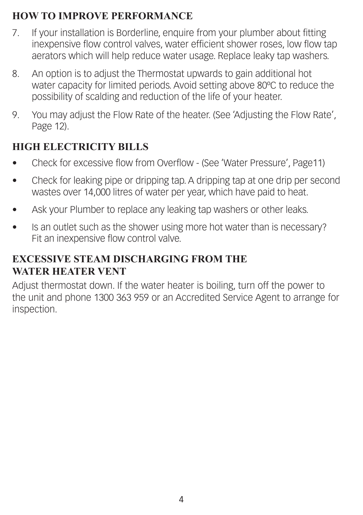#### **HOW TO IMPROVE PERFORMANCE**

- 7. If your installation is Borderline, enquire from your plumber about fitting inexpensive flow control valves, water efficient shower roses, low flow tap aerators which will help reduce water usage. Replace leaky tap washers.
- 8. An option is to adjust the Thermostat upwards to gain additional hot water capacity for limited periods. Avoid setting above 80ºC to reduce the possibility of scalding and reduction of the life of your heater.
- 9. You may adjust the Flow Rate of the heater. (See 'Adjusting the Flow Rate', Page 12).

#### **HIGH ELECTRICITY BILLS**

- Check for excessive flow from Overflow (See 'Water Pressure', Page11)
- Check for leaking pipe or dripping tap. A dripping tap at one drip per second wastes over 14,000 litres of water per year, which have paid to heat.
- Ask your Plumber to replace any leaking tap washers or other leaks.
- Is an outlet such as the shower using more hot water than is necessary? Fit an inexpensive flow control valve.

#### **EXCESSIVE STEAM DISCHARGING FROM THE WATER HEATER VENT**

Adjust thermostat down. If the water heater is boiling, turn off the power to the unit and phone 1300 363 959 or an Accredited Service Agent to arrange for inspection.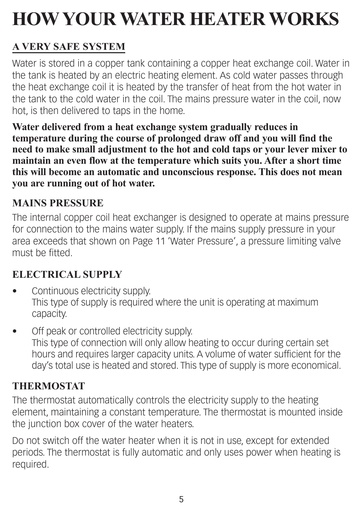## **How Your Water Heater Works**

#### **A very safe system**

Water is stored in a copper tank containing a copper heat exchange coil. Water in the tank is heated by an electric heating element. As cold water passes through the heat exchange coil it is heated by the transfer of heat from the hot water in the tank to the cold water in the coil. The mains pressure water in the coil, now hot, is then delivered to taps in the home.

**Water delivered from a heat exchange system gradually reduces in temperature during the course of prolonged draw off and you will find the need to make small adjustment to the hot and cold taps or your lever mixer to maintain an even flow at the temperature which suits you. After a short time this will become an automatic and unconscious response. This does not mean you are running out of hot water.**

#### **Mains Pressure**

The internal copper coil heat exchanger is designed to operate at mains pressure for connection to the mains water supply. If the mains supply pressure in your area exceeds that shown on Page 11 'Water Pressure', a pressure limiting valve must be fitted.

#### **Electrical Supply**

- Continuous electricity supply. This type of supply is required where the unit is operating at maximum capacity.
- Off peak or controlled electricity supply. This type of connection will only allow heating to occur during certain set hours and requires larger capacity units. A volume of water sufficient for the day's total use is heated and stored. This type of supply is more economical.

#### **Thermostat**

The thermostat automatically controls the electricity supply to the heating element, maintaining a constant temperature. The thermostat is mounted inside the junction box cover of the water heaters.

Do not switch off the water heater when it is not in use, except for extended periods. The thermostat is fully automatic and only uses power when heating is required.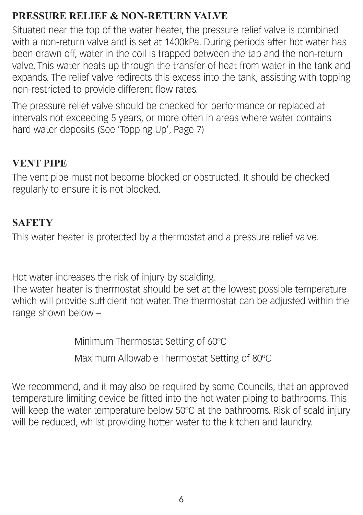#### **Pressure Relief & Non-Return Valve**

Situated near the top of the water heater, the pressure relief valve is combined with a non-return valve and is set at 1400kPa. During periods after hot water has been drawn off, water in the coil is trapped between the tap and the non-return valve. This water heats up through the transfer of heat from water in the tank and expands. The relief valve redirects this excess into the tank, assisting with topping non-restricted to provide different flow rates.

The pressure relief valve should be checked for performance or replaced at intervals not exceeding 5 years, or more often in areas where water contains hard water deposits (See 'Topping Up', Page 7)

#### **Vent Pipe**

The vent pipe must not become blocked or obstructed. It should be checked regularly to ensure it is not blocked.

#### **Safety**

This water heater is protected by a thermostat and a pressure relief valve.

Hot water increases the risk of injury by scalding.

The water heater is thermostat should be set at the lowest possible temperature which will provide sufficient hot water. The thermostat can be adjusted within the range shown below –

Minimum Thermostat Setting of 60ºC

Maximum Allowable Thermostat Setting of 80ºC

We recommend, and it may also be required by some Councils, that an approved temperature limiting device be fitted into the hot water piping to bathrooms. This will keep the water temperature below 50°C at the bathrooms. Risk of scald injury will be reduced, whilst providing hotter water to the kitchen and laundry.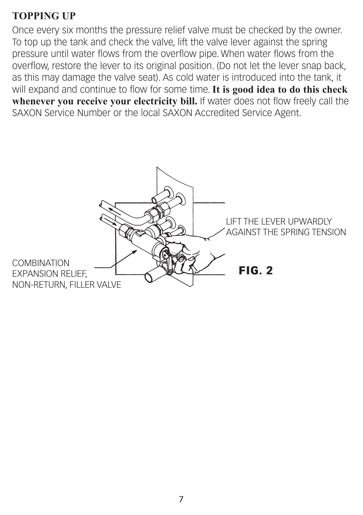#### **Topping Up**

Once every six months the pressure relief valve must be checked by the owner. To top up the tank and check the valve, lift the valve lever against the spring pressure until water flows from the overflow pipe. When water flows from the overflow, restore the lever to its original position. (Do not let the lever snap back, as this may damage the valve seat). As cold water is introduced into the tank, it will expand and continue to flow for some time. **It is good idea to do this check whenever you receive your electricity bill.** If water does not flow freely call the SAXON Service Number or the local SAXON Accredited Service Agent.

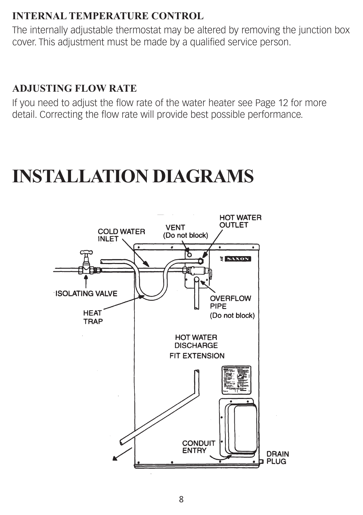#### **Internal temperature control**

The internally adjustable thermostat may be altered by removing the junction box cover. This adjustment must be made by a qualified service person.

#### **Adjusting flow rate**

If you need to adjust the flow rate of the water heater see Page 12 for more detail. Correcting the flow rate will provide best possible performance.

### **Installation diagrams**

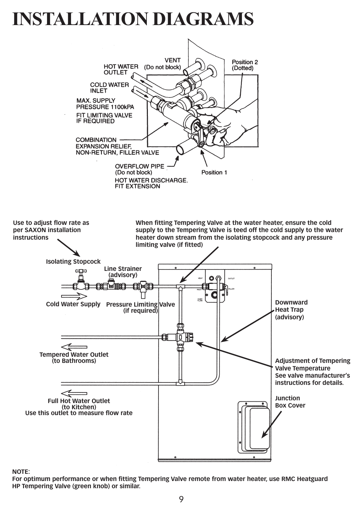### **Installation diagrams**



**NOTE:**

**For optimum performance or when fitting Tempering Valve remote from water heater, use RMC Heatguard HP Tempering Valve (green knob) or similar.**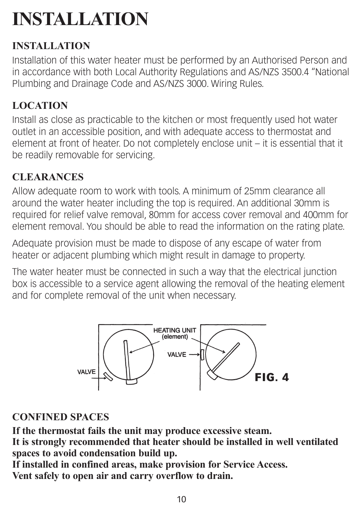### **Installation**

#### **installation**

Installation of this water heater must be performed by an Authorised Person and in accordance with both Local Authority Regulations and AS/NZS 3500.4 "National Plumbing and Drainage Code and AS/NZS 3000. Wiring Rules.

#### **Location**

Install as close as practicable to the kitchen or most frequently used hot water outlet in an accessible position, and with adequate access to thermostat and element at front of heater. Do not completely enclose unit – it is essential that it be readily removable for servicing.

#### **Clearances**

Allow adequate room to work with tools. A minimum of 25mm clearance all around the water heater including the top is required. An additional 30mm is required for relief valve removal, 80mm for access cover removal and 400mm for element removal. You should be able to read the information on the rating plate.

Adequate provision must be made to dispose of any escape of water from heater or adjacent plumbing which might result in damage to property.

The water heater must be connected in such a way that the electrical junction box is accessible to a service agent allowing the removal of the heating element and for complete removal of the unit when necessary.



#### **Confined Spaces**

**If the thermostat fails the unit may produce excessive steam. It is strongly recommended that heater should be installed in well ventilated spaces to avoid condensation build up.**

**If installed in confined areas, make provision for Service Access.**

**Vent safely to open air and carry overflow to drain.**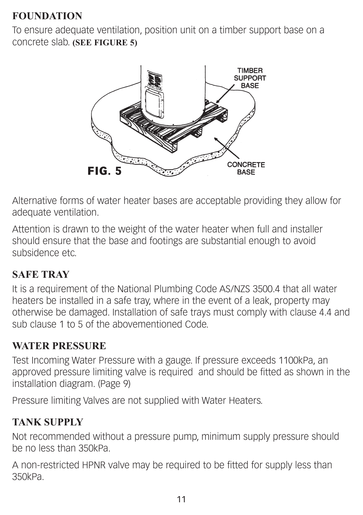#### **Foundation**

To ensure adequate ventilation, position unit on a timber support base on a concrete slab. **(See Figure 5)**



Alternative forms of water heater bases are acceptable providing they allow for adequate ventilation.

Attention is drawn to the weight of the water heater when full and installer should ensure that the base and footings are substantial enough to avoid subsidence etc.

#### **Safe tray**

It is a requirement of the National Plumbing Code AS/NZS 3500.4 that all water heaters be installed in a safe tray, where in the event of a leak, property may otherwise be damaged. Installation of safe trays must comply with clause 4.4 and sub clause 1 to 5 of the abovementioned Code.

#### **Water pressure**

Test Incoming Water Pressure with a gauge. If pressure exceeds 1100kPa, an approved pressure limiting valve is required and should be fitted as shown in the installation diagram. (Page 9)

Pressure limiting Valves are not supplied with Water Heaters.

#### **Tank Supply**

Not recommended without a pressure pump, minimum supply pressure should be no less than 350kPa.

A non-restricted HPNR valve may be required to be fitted for supply less than 350kPa.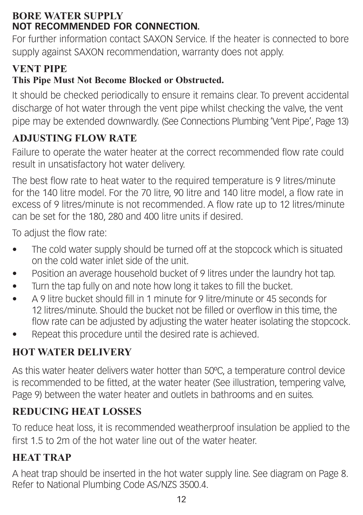#### **Bore Water Supply NOT RECOMMENDED FOR CONNECTION.**

For further information contact SAXON Service. If the heater is connected to bore supply against SAXON recommendation, warranty does not apply.

#### **Vent Pipe**

#### **This Pipe Must Not Become Blocked or Obstructed.**

It should be checked periodically to ensure it remains clear. To prevent accidental discharge of hot water through the vent pipe whilst checking the valve, the vent pipe may be extended downwardly. (See Connections Plumbing 'Vent Pipe', Page 13)

#### **Adjusting Flow Rate**

Failure to operate the water heater at the correct recommended flow rate could result in unsatisfactory hot water delivery.

The best flow rate to heat water to the required temperature is 9 litres/minute for the 140 litre model. For the 70 litre, 90 litre and 140 litre model, a flow rate in excess of 9 litres/minute is not recommended. A flow rate up to 12 litres/minute can be set for the 180, 280 and 400 litre units if desired.

To adjust the flow rate:

- The cold water supply should be turned off at the stopcock which is situated on the cold water inlet side of the unit.
- Position an average household bucket of 9 litres under the laundry hot tap.
- Turn the tap fully on and note how long it takes to fill the bucket.
- • A 9 litre bucket should fill in 1 minute for 9 litre/minute or 45 seconds for 12 litres/minute. Should the bucket not be filled or overflow in this time, the flow rate can be adjusted by adjusting the water heater isolating the stopcock.
- Repeat this procedure until the desired rate is achieved.

#### **Hot water Delivery**

As this water heater delivers water hotter than 50ºC, a temperature control device is recommended to be fitted, at the water heater (See illustration, tempering valve, Page 9) between the water heater and outlets in bathrooms and en suites.

#### **Reducing Heat Losses**

To reduce heat loss, it is recommended weatherproof insulation be applied to the first 1.5 to 2m of the hot water line out of the water heater.

#### **HEAT TRAP**

A heat trap should be inserted in the hot water supply line. See diagram on Page 8. Refer to National Plumbing Code AS/NZS 3500.4.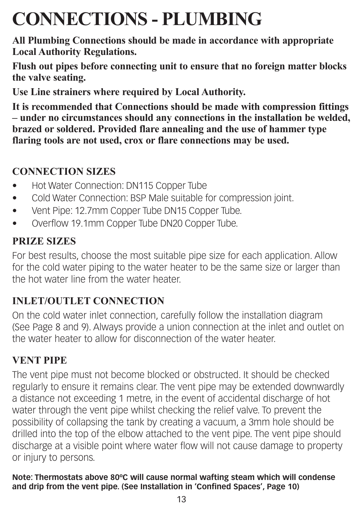### **Connections - Plumbing**

**All Plumbing Connections should be made in accordance with appropriate Local Authority Regulations.**

**Flush out pipes before connecting unit to ensure that no foreign matter blocks the valve seating.**

**Use Line strainers where required by Local Authority.**

**It is recommended that Connections should be made with compression fittings – under no circumstances should any connections in the installation be welded, brazed or soldered. Provided flare annealing and the use of hammer type flaring tools are not used, crox or flare connections may be used.**

#### **Connection sizes**

- Hot Water Connection: DN115 Copper Tube
- Cold Water Connection: BSP Male suitable for compression joint.
- Vent Pipe: 12.7mm Copper Tube DN15 Copper Tube.
- Overflow 19.1mm Copper Tube DN20 Copper Tube.

#### **Prize Sizes**

For best results, choose the most suitable pipe size for each application. Allow for the cold water piping to the water heater to be the same size or larger than the hot water line from the water heater.

#### **Inlet/Outlet connection**

On the cold water inlet connection, carefully follow the installation diagram (See Page 8 and 9). Always provide a union connection at the inlet and outlet on the water heater to allow for disconnection of the water heater.

#### **Vent Pipe**

The vent pipe must not become blocked or obstructed. It should be checked regularly to ensure it remains clear. The vent pipe may be extended downwardly a distance not exceeding 1 metre, in the event of accidental discharge of hot water through the vent pipe whilst checking the relief valve. To prevent the possibility of collapsing the tank by creating a vacuum, a 3mm hole should be drilled into the top of the elbow attached to the vent pipe. The vent pipe should discharge at a visible point where water flow will not cause damage to property or injury to persons.

**Note: Thermostats above 80ºC will cause normal wafting steam which will condense and drip from the vent pipe. (See Installation in 'Confined Spaces', Page 10)**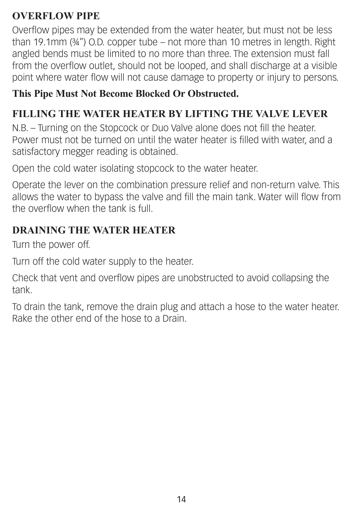#### **OVERFLOW PIPE**

Overflow pipes may be extended from the water heater, but must not be less than 19.1mm (¾") O.D. copper tube – not more than 10 metres in length. Right angled bends must be limited to no more than three. The extension must fall from the overflow outlet, should not be looped, and shall discharge at a visible point where water flow will not cause damage to property or injury to persons.

#### **This Pipe Must Not Become Blocked Or Obstructed.**

#### **Filling the Water Heater by lifting the Valve Lever**

N.B. – Turning on the Stopcock or Duo Valve alone does not fill the heater. Power must not be turned on until the water heater is filled with water, and a satisfactory megger reading is obtained.

Open the cold water isolating stopcock to the water heater.

Operate the lever on the combination pressure relief and non-return valve. This allows the water to bypass the valve and fill the main tank. Water will flow from the overflow when the tank is full.

#### **Draining the Water Heater**

Turn the power off.

Turn off the cold water supply to the heater.

Check that vent and overflow pipes are unobstructed to avoid collapsing the tank.

To drain the tank, remove the drain plug and attach a hose to the water heater. Rake the other end of the hose to a Drain.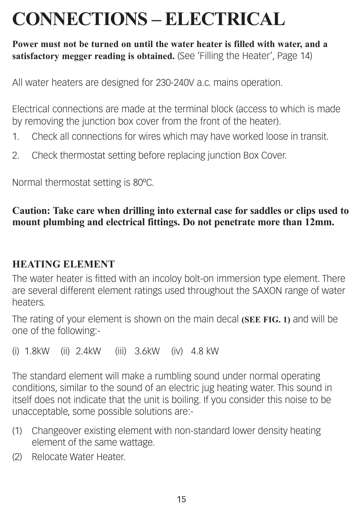### **Connections – Electrical**

**Power must not be turned on until the water heater is filled with water, and a satisfactory megger reading is obtained.** (See 'Filling the Heater', Page 14)

All water heaters are designed for 230-240V a.c. mains operation.

Electrical connections are made at the terminal block (access to which is made by removing the junction box cover from the front of the heater).

- 1. Check all connections for wires which may have worked loose in transit.
- 2. Check thermostat setting before replacing junction Box Cover.

Normal thermostat setting is 80ºC.

#### **Caution: Take care when drilling into external case for saddles or clips used to mount plumbing and electrical fittings. Do not penetrate more than 12mm.**

#### **Heating Element**

The water heater is fitted with an incoloy bolt-on immersion type element. There are several different element ratings used throughout the SAXON range of water heaters.

The rating of your element is shown on the main decal **(See Fig. 1)** and will be one of the following:-

(i) 1.8kW (ii) 2.4kW (iii) 3.6kW (iv) 4.8 kW

The standard element will make a rumbling sound under normal operating conditions, similar to the sound of an electric jug heating water. This sound in itself does not indicate that the unit is boiling. If you consider this noise to be unacceptable, some possible solutions are:-

- (1) Changeover existing element with non-standard lower density heating element of the same wattage.
- (2) Relocate Water Heater.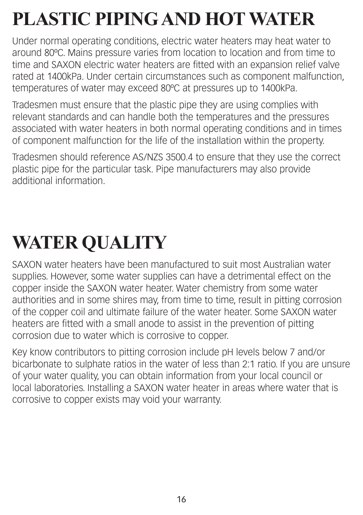## **Plastic Pipingand Hot Water**

Under normal operating conditions, electric water heaters may heat water to around 80ºC. Mains pressure varies from location to location and from time to time and SAXON electric water heaters are fitted with an expansion relief valve rated at 1400kPa. Under certain circumstances such as component malfunction, temperatures of water may exceed 80ºC at pressures up to 1400kPa.

Tradesmen must ensure that the plastic pipe they are using complies with relevant standards and can handle both the temperatures and the pressures associated with water heaters in both normal operating conditions and in times of component malfunction for the life of the installation within the property.

Tradesmen should reference AS/NZS 3500.4 to ensure that they use the correct plastic pipe for the particular task. Pipe manufacturers may also provide additional information.

## **Water Quality**

SAXON water heaters have been manufactured to suit most Australian water supplies. However, some water supplies can have a detrimental effect on the copper inside the SAXON water heater. Water chemistry from some water authorities and in some shires may, from time to time, result in pitting corrosion of the copper coil and ultimate failure of the water heater. Some SAXON water heaters are fitted with a small anode to assist in the prevention of pitting corrosion due to water which is corrosive to copper.

Key know contributors to pitting corrosion include pH levels below 7 and/or bicarbonate to sulphate ratios in the water of less than 2:1 ratio. If you are unsure of your water quality, you can obtain information from your local council or local laboratories. Installing a SAXON water heater in areas where water that is corrosive to copper exists may void your warranty.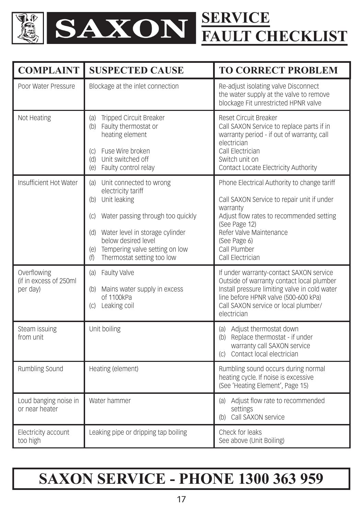

| <b>COMPLAINT</b>                                   | <b>SUSPECTED CAUSE</b>                                                                                                                                                                                                                                  | <b>TO CORRECT PROBLEM</b>                                                                                                                                                                                                                         |
|----------------------------------------------------|---------------------------------------------------------------------------------------------------------------------------------------------------------------------------------------------------------------------------------------------------------|---------------------------------------------------------------------------------------------------------------------------------------------------------------------------------------------------------------------------------------------------|
| Poor Water Pressure                                | Blockage at the inlet connection                                                                                                                                                                                                                        | Re-adjust isolating valve Disconnect<br>the water supply at the valve to remove<br>blockage Fit unrestricted HPNR valve                                                                                                                           |
| Not Heating                                        | (a) Tripped Circuit Breaker<br>(b) Faulty thermostat or<br>heating element<br>(c) Fuse Wire broken<br>(d) Unit switched off<br>(e) Faulty control relay                                                                                                 | Reset Circuit Breaker<br>Call SAXON Service to replace parts if in<br>warranty period - if out of warranty, call<br>electrician<br>Call Electrician<br>Switch unit on<br>Contact Locate Electricity Authority                                     |
| Insufficient Hot Water                             | (a) Unit connected to wrong<br>electricity tariff<br>(b) Unit leaking<br>(c) Water passing through too quickly<br>(d) Water level in storage cylinder<br>below desired level<br>(e) Tempering valve setting on low<br>Thermostat setting too low<br>(f) | Phone Electrical Authority to change tariff<br>Call SAXON Service to repair unit if under<br>warranty<br>Adjust flow rates to recommended setting<br>(See Page 12)<br>Refer Valve Maintenance<br>(See Page 6)<br>Call Plumber<br>Call Electrician |
| Overflowing<br>(if in excess of 250ml)<br>per day) | (a) Faulty Valve<br>(b) Mains water supply in excess<br>of 1100kPa<br>(c) Leaking coil                                                                                                                                                                  | If under warranty-contact SAXON service<br>Outside of warranty contact local plumber<br>Install pressure limiting valve in cold water<br>line before HPNR valve (500-600 kPa)<br>Call SAXON service or local plumber/<br>electrician              |
| Steam issuing<br>from unit                         | Unit boiling                                                                                                                                                                                                                                            | (a) Adjust thermostat down<br>(b) Replace thermostat - if under<br>warranty call SAXON service<br>(c) Contact local electrician                                                                                                                   |
| Rumbling Sound                                     | Heating (element)                                                                                                                                                                                                                                       | Rumbling sound occurs during normal<br>heating cycle. If noise is excessive<br>(See 'Heating Element', Page 15)                                                                                                                                   |
| Loud banging noise in<br>or near heater            | Water hammer                                                                                                                                                                                                                                            | (a) Adjust flow rate to recommended<br>settings<br>(b) Call SAXON service                                                                                                                                                                         |
| Electricity account<br>too high                    | Leaking pipe or dripping tap boiling                                                                                                                                                                                                                    | Check for leaks<br>See above (Unit Boiling)                                                                                                                                                                                                       |

### **saxon service - phone 1300 363 959**